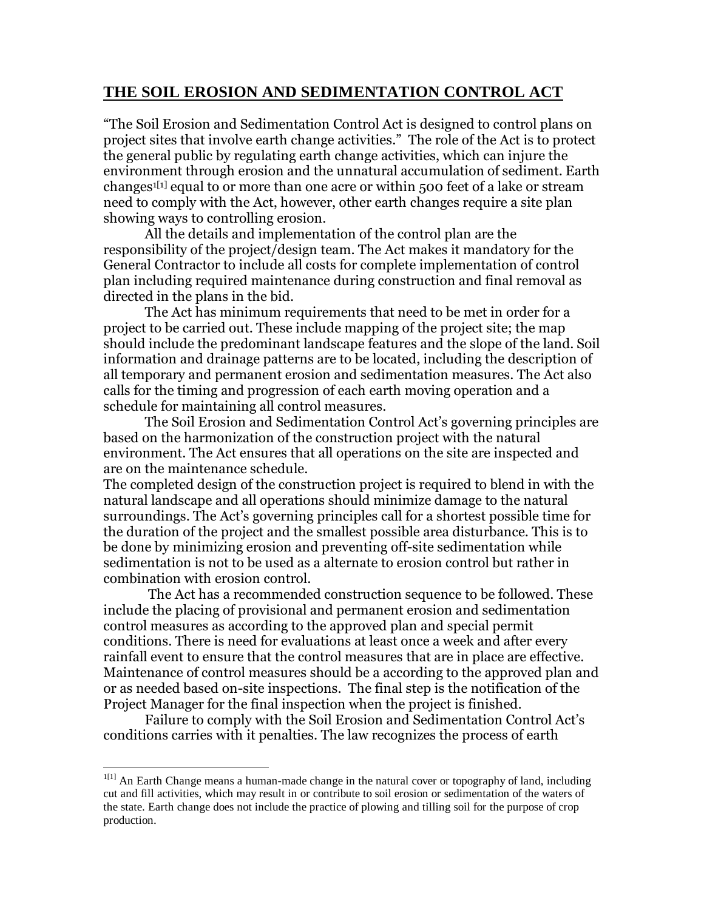## **THE SOIL EROSION AND SEDIMENTATION CONTROL ACT**

"The Soil Erosion and Sedimentation Control Act is designed to control plans on project sites that involve earth change activities." The role of the Act is to protect the general public by regulating earth change activities, which can injure the environment through erosion and the unnatural accumulation of sediment. Earth changes<sup>1[1]</sup> equal to or more than one acre or within 500 feet of a lake or stream need to comply with the Act, however, other earth changes require a site plan showing ways to controlling erosion.

 All the details and implementation of the control plan are the responsibility of the project/design team. The Act makes it mandatory for the General Contractor to include all costs for complete implementation of control plan including required maintenance during construction and final removal as directed in the plans in the bid.

 The Act has minimum requirements that need to be met in order for a project to be carried out. These include mapping of the project site; the map should include the predominant landscape features and the slope of the land. Soil information and drainage patterns are to be located, including the description of all temporary and permanent erosion and sedimentation measures. The Act also calls for the timing and progression of each earth moving operation and a schedule for maintaining all control measures.

 The Soil Erosion and Sedimentation Control Act's governing principles are based on the harmonization of the construction project with the natural environment. The Act ensures that all operations on the site are inspected and are on the maintenance schedule.

The completed design of the construction project is required to blend in with the natural landscape and all operations should minimize damage to the natural surroundings. The Act's governing principles call for a shortest possible time for the duration of the project and the smallest possible area disturbance. This is to be done by minimizing erosion and preventing off-site sedimentation while sedimentation is not to be used as a alternate to erosion control but rather in combination with erosion control.

 The Act has a recommended construction sequence to be followed. These include the placing of provisional and permanent erosion and sedimentation control measures as according to the approved plan and special permit conditions. There is need for evaluations at least once a week and after every rainfall event to ensure that the control measures that are in place are effective. Maintenance of control measures should be a according to the approved plan and or as needed based on-site inspections. The final step is the notification of the Project Manager for the final inspection when the project is finished.

 Failure to comply with the Soil Erosion and Sedimentation Control Act's conditions carries with it penalties. The law recognizes the process of earth

-

 $1<sup>[1]</sup>$  An Earth Change means a human-made change in the natural cover or topography of land, including cut and fill activities, which may result in or contribute to soil erosion or sedimentation of the waters of the state. Earth change does not include the practice of plowing and tilling soil for the purpose of crop production.